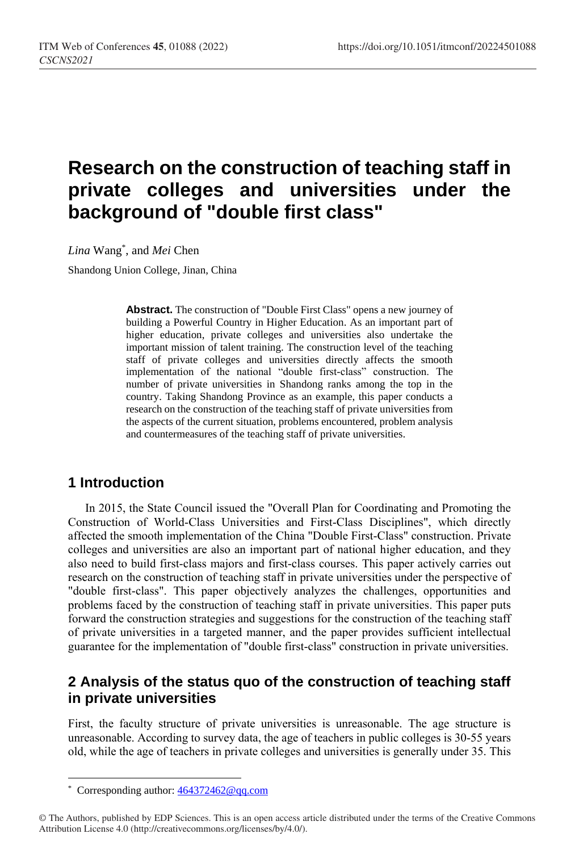# **Research on the construction of teaching staff in private colleges and universities under the background of "double first class"**

*Lina* Wang\* , and *Mei* Chen

Shandong Union College, Jinan, China

**Abstract.** The construction of "Double First Class" opens a new journey of building a Powerful Country in Higher Education. As an important part of higher education, private colleges and universities also undertake the important mission of talent training. The construction level of the teaching staff of private colleges and universities directly affects the smooth implementation of the national "double first-class" construction. The number of private universities in Shandong ranks among the top in the country. Taking Shandong Province as an example, this paper conducts a research on the construction of the teaching staff of private universities from the aspects of the current situation, problems encountered, problem analysis and countermeasures of the teaching staff of private universities.

# **1 Introduction**

In 2015, the State Council issued the "Overall Plan for Coordinating and Promoting the Construction of World-Class Universities and First-Class Disciplines", which directly affected the smooth implementation of the China "Double First-Class" construction. Private colleges and universities are also an important part of national higher education, and they also need to build first-class majors and first-class courses. This paper actively carries out research on the construction of teaching staff in private universities under the perspective of "double first-class". This paper objectively analyzes the challenges, opportunities and problems faced by the construction of teaching staff in private universities. This paper puts forward the construction strategies and suggestions for the construction of the teaching staff of private universities in a targeted manner, and the paper provides sufficient intellectual guarantee for the implementation of "double first-class" construction in private universities.

## **2 Analysis of the status quo of the construction of teaching staff in private universities**

First, the faculty structure of private universities is unreasonable. The age structure is unreasonable. According to survey data, the age of teachers in public colleges is 30-55 years old, while the age of teachers in private colleges and universities is generally under 35. This

 $\overline{a}$ 

<sup>\*</sup> Corresponding author[: 464372462@qq.com](mailto:464372462@qq.com)

<sup>©</sup> The Authors, published by EDP Sciences. This is an open access article distributed under the terms of the Creative Commons Attribution License 4.0 (http://creativecommons.org/licenses/by/4.0/).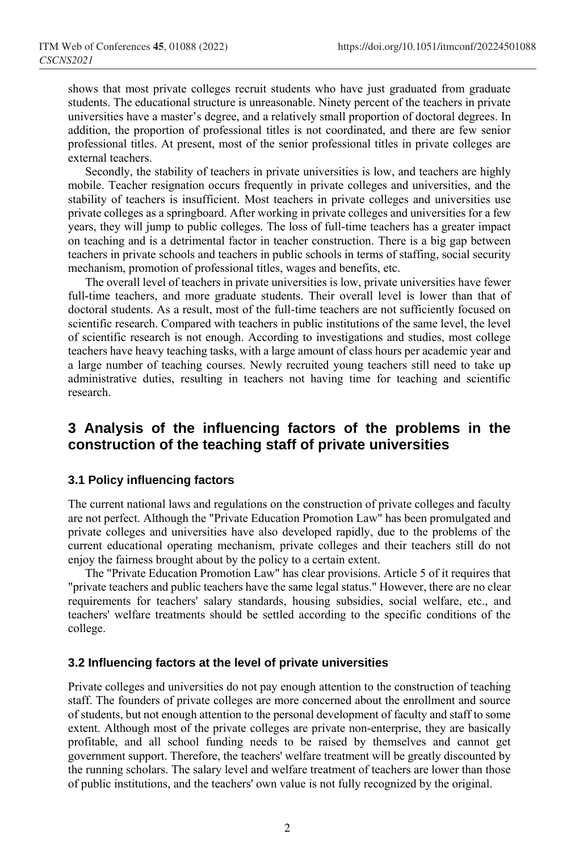shows that most private colleges recruit students who have just graduated from graduate students. The educational structure is unreasonable. Ninety percent of the teachers in private universities have a master's degree, and a relatively small proportion of doctoral degrees. In addition, the proportion of professional titles is not coordinated, and there are few senior professional titles. At present, most of the senior professional titles in private colleges are external teachers.

Secondly, the stability of teachers in private universities is low, and teachers are highly mobile. Teacher resignation occurs frequently in private colleges and universities, and the stability of teachers is insufficient. Most teachers in private colleges and universities use private colleges as a springboard. After working in private colleges and universities for a few years, they will jump to public colleges. The loss of full-time teachers has a greater impact on teaching and is a detrimental factor in teacher construction. There is a big gap between teachers in private schools and teachers in public schools in terms of staffing, social security mechanism, promotion of professional titles, wages and benefits, etc.

The overall level of teachers in private universities is low, private universities have fewer full-time teachers, and more graduate students. Their overall level is lower than that of doctoral students. As a result, most of the full-time teachers are not sufficiently focused on scientific research. Compared with teachers in public institutions of the same level, the level of scientific research is not enough. According to investigations and studies, most college teachers have heavy teaching tasks, with a large amount of class hours per academic year and a large number of teaching courses. Newly recruited young teachers still need to take up administrative duties, resulting in teachers not having time for teaching and scientific research.

# **3 Analysis of the influencing factors of the problems in the construction of the teaching staff of private universities**

## **3.1 Policy influencing factors**

The current national laws and regulations on the construction of private colleges and faculty are not perfect. Although the "Private Education Promotion Law" has been promulgated and private colleges and universities have also developed rapidly, due to the problems of the current educational operating mechanism, private colleges and their teachers still do not enjoy the fairness brought about by the policy to a certain extent.

The "Private Education Promotion Law" has clear provisions. Article 5 of it requires that "private teachers and public teachers have the same legal status." However, there are no clear requirements for teachers' salary standards, housing subsidies, social welfare, etc., and teachers' welfare treatments should be settled according to the specific conditions of the college.

## **3.2 Influencing factors at the level of private universities**

Private colleges and universities do not pay enough attention to the construction of teaching staff. The founders of private colleges are more concerned about the enrollment and source of students, but not enough attention to the personal development of faculty and staff to some extent. Although most of the private colleges are private non-enterprise, they are basically profitable, and all school funding needs to be raised by themselves and cannot get government support. Therefore, the teachers' welfare treatment will be greatly discounted by the running scholars. The salary level and welfare treatment of teachers are lower than those of public institutions, and the teachers' own value is not fully recognized by the original.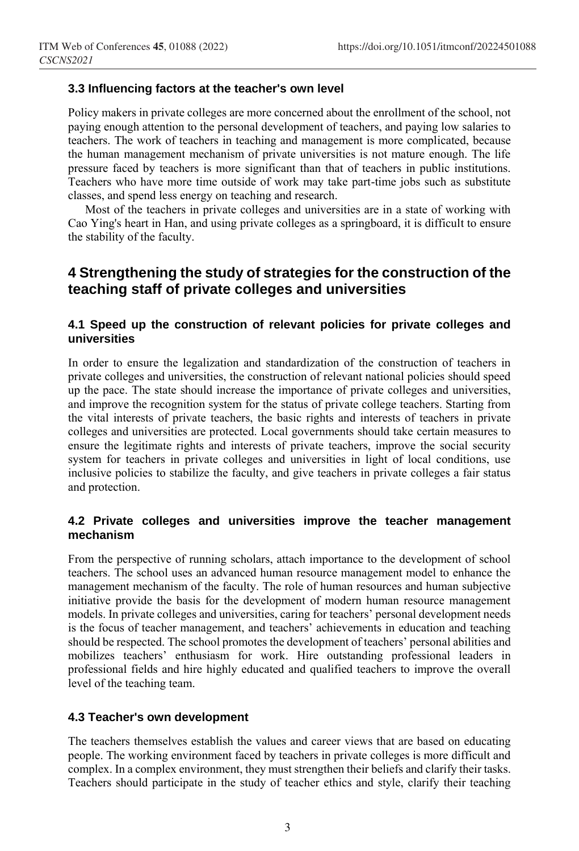## **3.3 Influencing factors at the teacher's own level**

Policy makers in private colleges are more concerned about the enrollment of the school, not paying enough attention to the personal development of teachers, and paying low salaries to teachers. The work of teachers in teaching and management is more complicated, because the human management mechanism of private universities is not mature enough. The life pressure faced by teachers is more significant than that of teachers in public institutions. Teachers who have more time outside of work may take part-time jobs such as substitute classes, and spend less energy on teaching and research.

Most of the teachers in private colleges and universities are in a state of working with Cao Ying's heart in Han, and using private colleges as a springboard, it is difficult to ensure the stability of the faculty.

## **4 Strengthening the study of strategies for the construction of the teaching staff of private colleges and universities**

## **4.1 Speed up the construction of relevant policies for private colleges and universities**

In order to ensure the legalization and standardization of the construction of teachers in private colleges and universities, the construction of relevant national policies should speed up the pace. The state should increase the importance of private colleges and universities, and improve the recognition system for the status of private college teachers. Starting from the vital interests of private teachers, the basic rights and interests of teachers in private colleges and universities are protected. Local governments should take certain measures to ensure the legitimate rights and interests of private teachers, improve the social security system for teachers in private colleges and universities in light of local conditions, use inclusive policies to stabilize the faculty, and give teachers in private colleges a fair status and protection.

## **4.2 Private colleges and universities improve the teacher management mechanism**

From the perspective of running scholars, attach importance to the development of school teachers. The school uses an advanced human resource management model to enhance the management mechanism of the faculty. The role of human resources and human subjective initiative provide the basis for the development of modern human resource management models. In private colleges and universities, caring for teachers' personal development needs is the focus of teacher management, and teachers' achievements in education and teaching should be respected. The school promotes the development of teachers' personal abilities and mobilizes teachers' enthusiasm for work. Hire outstanding professional leaders in professional fields and hire highly educated and qualified teachers to improve the overall level of the teaching team.

## **4.3 Teacher's own development**

The teachers themselves establish the values and career views that are based on educating people. The working environment faced by teachers in private colleges is more difficult and complex. In a complex environment, they must strengthen their beliefs and clarify their tasks. Teachers should participate in the study of teacher ethics and style, clarify their teaching